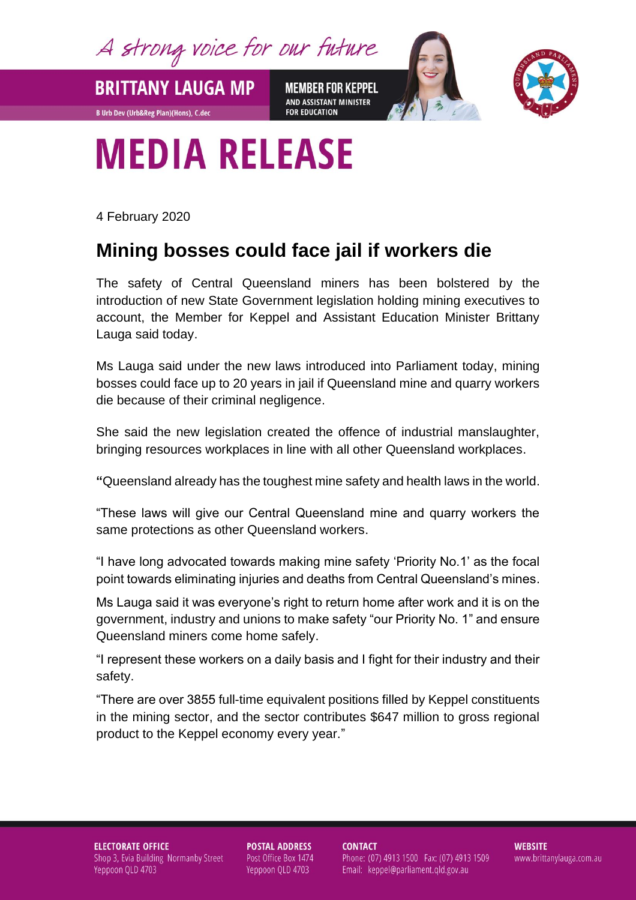A strong voice for our future

**MEMBER FOR KEPPEL** AND ASSISTANT MINISTER **FOR EDUCATION** 



## **MEDIA RELEASE**

4 February 2020

**BRITTANY LAUGA MP** 

**B Urb Dev (Urb&Reg Plan)(Hons), C.dec** 

## **Mining bosses could face jail if workers die**

The safety of Central Queensland miners has been bolstered by the introduction of new State Government legislation holding mining executives to account, the Member for Keppel and Assistant Education Minister Brittany Lauga said today.

Ms Lauga said under the new laws introduced into Parliament today, mining bosses could face up to 20 years in jail if Queensland mine and quarry workers die because of their criminal negligence.

She said the new legislation created the offence of industrial manslaughter, bringing resources workplaces in line with all other Queensland workplaces.

**"**Queensland already has the toughest mine safety and health laws in the world.

"These laws will give our Central Queensland mine and quarry workers the same protections as other Queensland workers.

"I have long advocated towards making mine safety 'Priority No.1' as the focal point towards eliminating injuries and deaths from Central Queensland's mines.

Ms Lauga said it was everyone's right to return home after work and it is on the government, industry and unions to make safety "our Priority No. 1" and ensure Queensland miners come home safely.

"I represent these workers on a daily basis and I fight for their industry and their safety.

"There are over 3855 full-time equivalent positions filled by Keppel constituents in the mining sector, and the sector contributes \$647 million to gross regional product to the Keppel economy every year."

**ELECTORATE OFFICE** Shop 3, Evia Building Normanby Street Yeppoon QLD 4703

**POSTAL ADDRESS** Post Office Box 1474 Yeppoon QLD 4703

**CONTACT** Phone: (07) 4913 1500 Fax: (07) 4913 1509 Email: keppel@parliament.qld.gov.au

**WEBSITE** www.brittanylauga.com.au